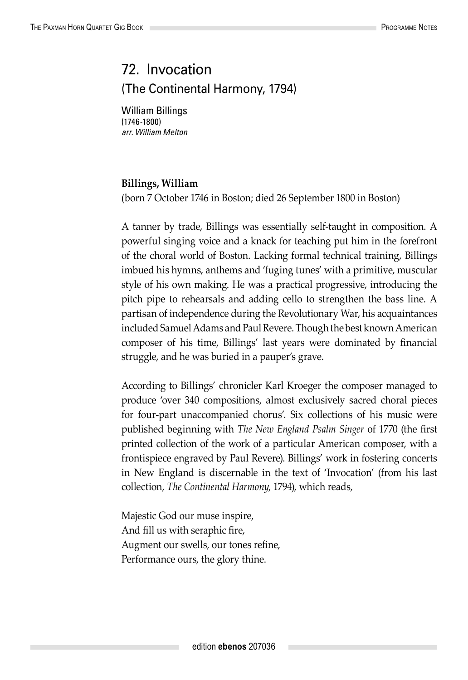## 72. Invocation (The Continental Harmony, 1794)

William Billings (1746-1800) *arr. William Melton*

## **Billings, William**

(born 7 October 1746 in Boston; died 26 September 1800 in Boston)

A tanner by trade, Billings was essentially self-taught in composition. A powerful singing voice and a knack for teaching put him in the forefront of the choral world of Boston. Lacking formal technical training, Billings imbued his hymns, anthems and 'fuging tunes' with a primitive, muscular style of his own making. He was a practical progressive, introducing the pitch pipe to rehearsals and adding cello to strengthen the bass line. A partisan of independence during the Revolutionary War, his acquaintances included Samuel Adams and Paul Revere. Though the best known American composer of his time, Billings' last years were dominated by financial struggle, and he was buried in a pauper's grave.

According to Billings' chronicler Karl Kroeger the composer managed to produce 'over 340 compositions, almost exclusively sacred choral pieces for four-part unaccompanied chorus'. Six collections of his music were published beginning with *The New England Psalm Singer* of 1770 (the first printed collection of the work of a particular American composer, with a frontispiece engraved by Paul Revere). Billings' work in fostering concerts in New England is discernable in the text of 'Invocation' (from his last collection, *The Continental Harmony*, 1794), which reads,

Majestic God our muse inspire, And fill us with seraphic fire, Augment our swells, our tones refine, Performance ours, the glory thine.